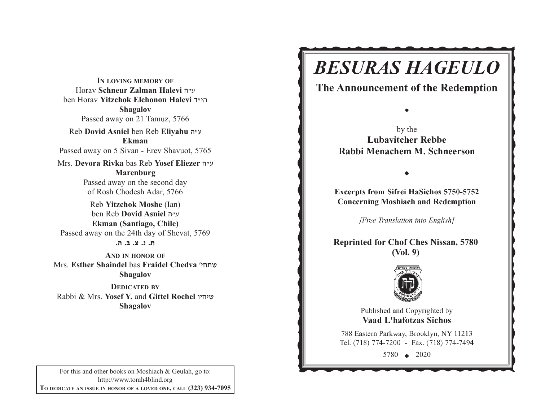**IN LOVING MEMORY OF**Horav **Schneur Zalman Halevi** v"g ben Horav **Yitzchok Elchonon Halevi** s"hv**Shagalov** Passed away on 21 Tamuz, 5766 Reb **Dovid Asniel** ben Reb **Eliyahu** <sup>v</sup>"g **Ekman**Passed away on 5 Sivan - Erev Shavuot, 5765 Mrs. **Devora Rivka** bas Reb **Yosef Eliezer** v"g **Marenburg** Passed away on the second day of Rosh Chodesh Adar, 5766 Reb **Yitzchok Moshe** (Ian) ben Reb **Dovid Asniel** v"g **Ekman (Santiago, Chile)** Passed away on the 24th day of Shevat, 5769 **/v /c /m /b /,AND IN HONOR OF**Mrs. **Esther Shaindel** bas **Fraidel Chedva** whj,a

**Shagalov DEDICATED BY**

Rabbi & Mrs. **Yosef Y.** and **Gittel Rochel** uhjha**Shagalov**

Rabbi Menachem M. Schneerson

**Excerpts from Sifrei HaSichos 5750-5752 Concerning Moshiach and Redemption** 

**BESURAS HAGEULO** 

The Announcement of the Redemption

by the **Lubavitcher Rebbe** 

[Free Translation into English]

**Reprinted for Chof Ches Nissan, 5780 (Vol. 9)**



Published and Copyrighted by **Vaad L'hafotzas Sichos** 

788 Eastern Parkway, Brooklyn, NY 11213 Tel. (718) 774-7200 - Fax. (718) 774-7494

5780  $\leftrightarrow$  2020

For this and other books on Moshiach & Geulah, go to: http://www.torah4blind.org **TO DEDICATE AN ISSUE IN HONOR OF <sup>A</sup> LOVED ONE, CALL (323) 934-7095**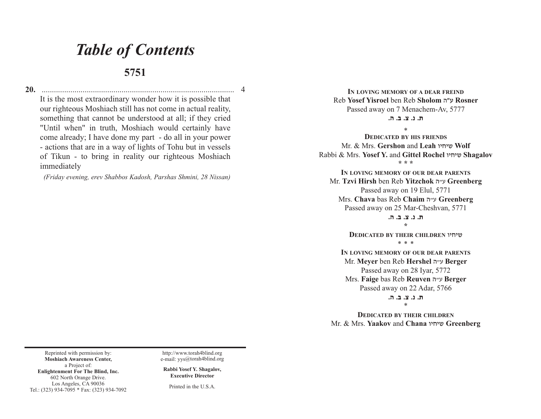## *Table of Contents*

## **5751**

**20.** .............................................................................................. 4 It is the most extraordinary wonder how it is possible that our righteous Moshiach still has not come in actual reality, something that cannot be understood at all; if they cried "Until when" in truth, Moshiach would certainly have come already; I have done my part - do all in your power - actions that are in a way of lights of Tohu but in vessels of Tikun - to bring in reality our righteous Moshiach immediately

*(Friday evening, erev Shabbos Kadosh, Parshas Shmini, 28 Nissan)*

**IN LOVING MEMORY OF A DEAR FREIND**Reb **Yosef Yisroel** ben Reb **Sholom** vWg **Rosner** Passed away on 7 Menachem-Av, 5777 **/v /c /m /b /,**

\*

 **DEDICATED BY HIS FRIENDS**Mr. & Mrs. **Gershon** and **Leah** uhjha **Wolf** Rabbi & Mrs. **Yosef Y.** and **Gittel Rochel** uhjha **Shagalov \* \* \***

**IN LOVING MEMORY OF OUR DEAR PARENTS**Mr. **Tzvi Hirsh** ben Reb **Yitzchok** <sup>v</sup>"g **Greenberg** Passed away on 19 Elul, 5771 Mrs. **Chava** bas Reb **Chaim** <sup>v</sup>"g **Greenberg** Passed away on 25 Mar-Cheshvan, 5771

> ת. נ. צ. ב. ה. **\***

**DEDICATED BY THEIR CHILDREN** uhjha \* \* \*

**IN LOVING MEMORY OF OUR DEAR PARENTS**Mr. **Meyer** ben Reb **Hershel** <sup>v</sup>"g **Berger** Passed away on 28 Iyar, 5772 Mrs. **Faige** bas Reb **Reuven** <sup>v</sup>"g **Berger** Passed away on 22 Adar, 5766

> **/v /c /m /b /,**\*

**DEDICATED BY THEIR CHILDREN**Mr. & Mrs. **Yaakov** and **Chana** uhjha **Greenberg**

Reprinted with permission by: **Moshiach Awareness Center,** a Project of: **Enlightenment For The Blind, Inc.** 602 North Orange Drive. Los Angeles, CA 90036 Tel.: (323) 934-7095 \* Fax: (323) 934-7092

http://www.torah4blind.org e-mail: yys@torah4blind.org

**Rabbi Yosef Y. Shagalov, Executive Director**

Printed in the U.S.A.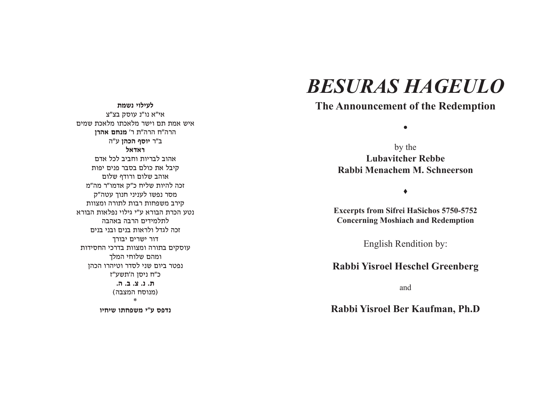**לעילוי נשמת** אי"א נו"נ עוסק בצ"צ איש אמת תם וישר מלאכתו מלאכת שמים הרה"ח הרה"ת ר' **מנחם אהרו** ב"ר **יוסף הכהן** ע"ה **ראדאל** אהוב לבריות וחביב לכל אדם קיבל את כולם בסבר פנים יפות אוהב שלום ורודף שלום זכה להיות שליח כ"ק אדמו"ר מה"מ מסר נפשו לעניני חנוך עטה"ק קירב משפחות רבות לתורה ומצוות נטע הכרת הבורא ע"י גילוי נפלאות הבורא לתלמידים הרבה באהבה זכה לגדל ולראות בנים ובני בנים דור ישרים יבורד עוסקים בתורה ומצוות בדרכי החסידות ומהם שלוחי המלך נפטר ביום שני לסדר וטיהרו הכהן כ"ח ניסן ה'תשע"ז **,,**, ,, <u>,, ,,</u> (מנוסח המצבה) \***נדפס ע"י משפחתו שיחיו** 

# *BESURAS HAGEULO*

## **The Announcement of the Redemption**

 $\bullet$ 

by the **Lubavitcher RebbeRabbi Menachem M. Schneerson** 

#### $\blacklozenge$

**Excerpts from Sifrei HaSichos 5750-5752 Concerning Moshiach and Redemption** 

English Rendition by:

## **Rabbi Yisroel Heschel Greenberg**

and

**Rabbi Yisroel Ber Kaufman, Ph.D**